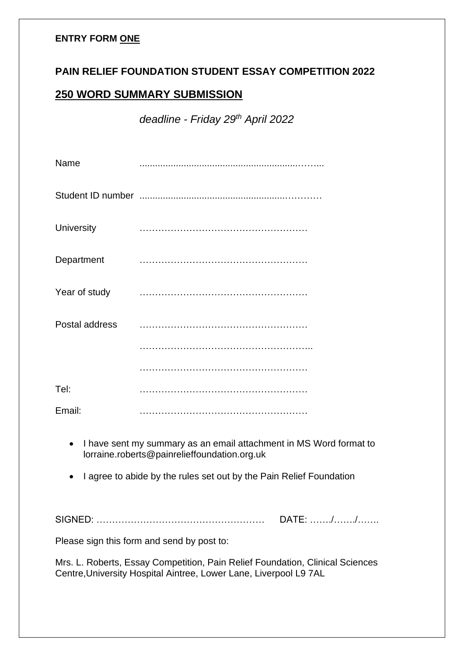### **ENTRY FORM ONE**

# **PAIN RELIEF FOUNDATION STUDENT ESSAY COMPETITION 2022**

# **250 WORD SUMMARY SUBMISSION**

*deadline - Friday 29th April 2022*

| Name           |  |
|----------------|--|
|                |  |
| University     |  |
| Department     |  |
| Year of study  |  |
| Postal address |  |
|                |  |
|                |  |
| Tel:           |  |
| Email:         |  |

- I have sent my summary as an email attachment in MS Word format to lorraine.roberts@painrelieffoundation.org.uk
- I agree to abide by the rules set out by the Pain Relief Foundation

SIGNED: ……………………………………………… DATE: ……./……./…….

Please sign this form and send by post to:

Mrs. L. Roberts, Essay Competition, Pain Relief Foundation, Clinical Sciences Centre,University Hospital Aintree, Lower Lane, Liverpool L9 7AL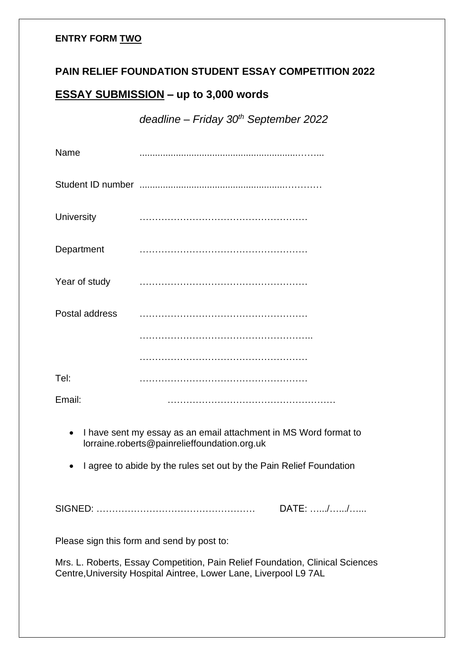### **ENTRY FORM TWO**

## **PAIN RELIEF FOUNDATION STUDENT ESSAY COMPETITION 2022**

# **ESSAY SUBMISSION – up to 3,000 words**

*deadline – Friday 30th September 2022*

| Name              |  |
|-------------------|--|
|                   |  |
| <b>University</b> |  |
| Department        |  |
| Year of study     |  |
| Postal address    |  |
|                   |  |
|                   |  |
| Tel:              |  |
| Email:            |  |

- I have sent my essay as an email attachment in MS Word format to lorraine.roberts@painrelieffoundation.org.uk
- I agree to abide by the rules set out by the Pain Relief Foundation

SIGNED: …………………………………………… DATE: ….../….../…...

Please sign this form and send by post to:

Mrs. L. Roberts, Essay Competition, Pain Relief Foundation, Clinical Sciences Centre,University Hospital Aintree, Lower Lane, Liverpool L9 7AL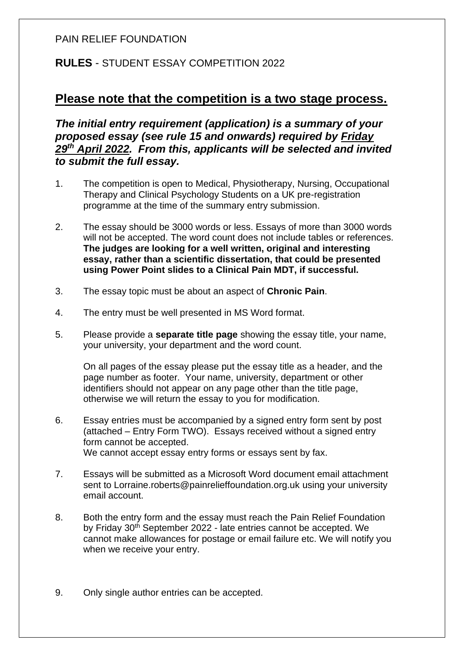### PAIN RELIEF FOUNDATION

# **RULES** - STUDENT ESSAY COMPETITION 2022

# **Please note that the competition is a two stage process.**

*The initial entry requirement (application) is a summary of your proposed essay (see rule 15 and onwards) required by Friday 29th April 2022. From this, applicants will be selected and invited to submit the full essay.*

- 1. The competition is open to Medical, Physiotherapy, Nursing, Occupational Therapy and Clinical Psychology Students on a UK pre-registration programme at the time of the summary entry submission.
- 2. The essay should be 3000 words or less. Essays of more than 3000 words will not be accepted. The word count does not include tables or references. **The judges are looking for a well written, original and interesting essay, rather than a scientific dissertation, that could be presented using Power Point slides to a Clinical Pain MDT, if successful.**
- 3. The essay topic must be about an aspect of **Chronic Pain**.
- 4. The entry must be well presented in MS Word format.
- 5. Please provide a **separate title page** showing the essay title, your name, your university, your department and the word count.

On all pages of the essay please put the essay title as a header, and the page number as footer. Your name, university, department or other identifiers should not appear on any page other than the title page, otherwise we will return the essay to you for modification.

- 6. Essay entries must be accompanied by a signed entry form sent by post (attached – Entry Form TWO). Essays received without a signed entry form cannot be accepted. We cannot accept essay entry forms or essays sent by fax.
- 7. Essays will be submitted as a Microsoft Word document email attachment sent to Lorraine.roberts@painrelieffoundation.org.uk using your university email account.
- 8. Both the entry form and the essay must reach the Pain Relief Foundation by Friday 30th September 2022 - late entries cannot be accepted. We cannot make allowances for postage or email failure etc. We will notify you when we receive your entry.
- 9. Only single author entries can be accepted.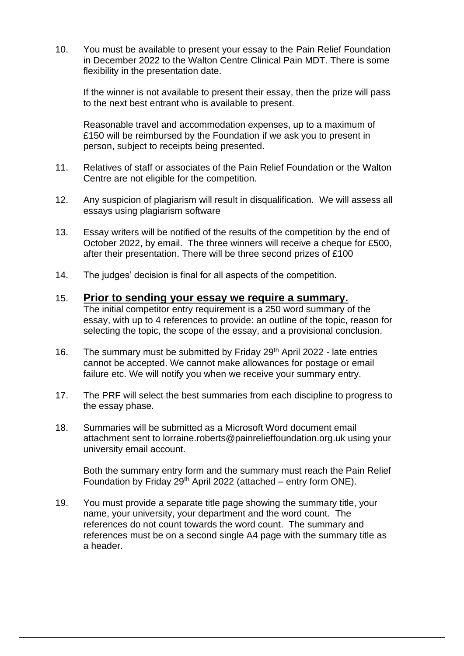10. You must be available to present your essay to the Pain Relief Foundation in December 2022 to the Walton Centre Clinical Pain MDT. There is some flexibility in the presentation date.

If the winner is not available to present their essay, then the prize will pass to the next best entrant who is available to present.

Reasonable travel and accommodation expenses, up to a maximum of £150 will be reimbursed by the Foundation if we ask you to present in person, subject to receipts being presented.

- 11. Relatives of staff or associates of the Pain Relief Foundation or the Walton Centre are not eligible for the competition.
- 12. Any suspicion of plagiarism will result in disqualification. We will assess all essays using plagiarism software
- 13. Essay writers will be notified of the results of the competition by the end of October 2022, by email. The three winners will receive a cheque for £500, after their presentation. There will be three second prizes of £100
- 14. The judges' decision is final for all aspects of the competition.

#### 15. **Prior to sending your essay we require a summary.**

The initial competitor entry requirement is a 250 word summary of the essay, with up to 4 references to provide: an outline of the topic, reason for selecting the topic, the scope of the essay, and a provisional conclusion.

- 16. The summary must be submitted by Friday 29<sup>th</sup> April 2022 late entries cannot be accepted. We cannot make allowances for postage or email failure etc. We will notify you when we receive your summary entry.
- 17. The PRF will select the best summaries from each discipline to progress to the essay phase.
- 18. Summaries will be submitted as a Microsoft Word document email attachment sent to lorraine.roberts@painrelieffoundation.org.uk using your university email account.

Both the summary entry form and the summary must reach the Pain Relief Foundation by Friday  $29<sup>th</sup>$  April 2022 (attached – entry form ONE).

19. You must provide a separate title page showing the summary title, your name, your university, your department and the word count. The references do not count towards the word count. The summary and references must be on a second single A4 page with the summary title as a header.